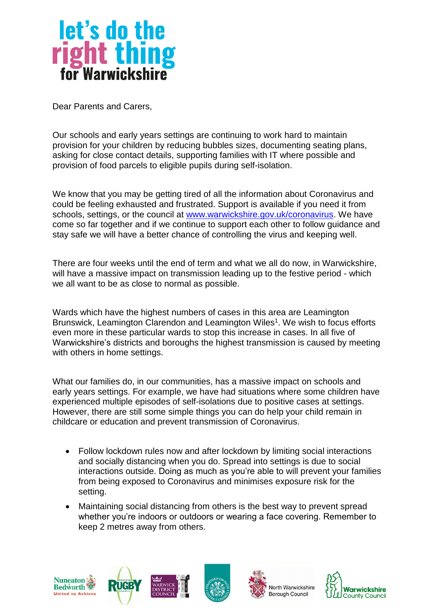

Dear Parents and Carers,

Our schools and early years settings are continuing to work hard to maintain provision for your children by reducing bubbles sizes, documenting seating plans, asking for close contact details, supporting families with IT where possible and provision of food parcels to eligible pupils during self-isolation.

We know that you may be getting tired of all the information about Coronavirus and could be feeling exhausted and frustrated. Support is available if you need it from schools, settings, or the council at [www.warwickshire.gov.uk/coronavirus.](http://www.warwickshire.gov.uk/coronavirus) We have come so far together and if we continue to support each other to follow guidance and stay safe we will have a better chance of controlling the virus and keeping well.

There are four weeks until the end of term and what we all do now, in Warwickshire, will have a massive impact on transmission leading up to the festive period - which we all want to be as close to normal as possible.

Wards which have the highest numbers of cases in this area are Leamington Brunswick, Leamington Clarendon and Leamington Wiles<sup>1</sup>. We wish to focus efforts even more in these particular wards to stop this increase in cases. In all five of Warwickshire's districts and boroughs the highest transmission is caused by meeting with others in home settings.

What our families do, in our communities, has a massive impact on schools and early years settings. For example, we have had situations where some children have experienced multiple episodes of self-isolations due to positive cases at settings. However, there are still some simple things you can do help your child remain in childcare or education and prevent transmission of Coronavirus.

- Follow lockdown rules now and after lockdown by limiting social interactions and socially distancing when you do. Spread into settings is due to social interactions outside. Doing as much as you're able to will prevent your families from being exposed to Coronavirus and minimises exposure risk for the setting.
- Maintaining social distancing from others is the best way to prevent spread whether you're indoors or outdoors or wearing a face covering. Remember to keep 2 metres away from others.